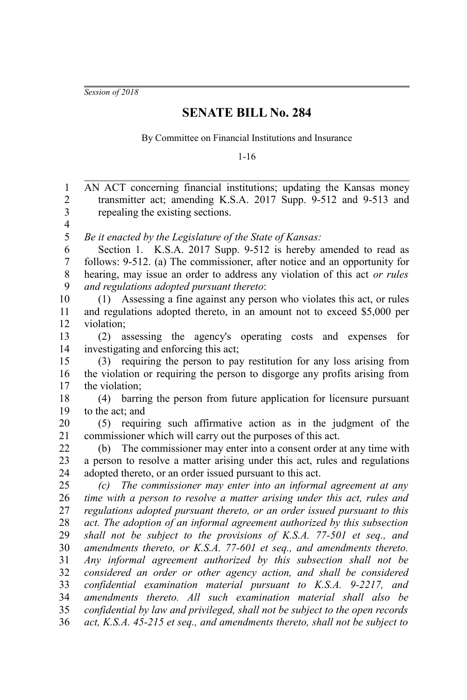*Session of 2018*

## **SENATE BILL No. 284**

By Committee on Financial Institutions and Insurance

1-16

AN ACT concerning financial institutions; updating the Kansas money transmitter act; amending K.S.A. 2017 Supp. 9-512 and 9-513 and repealing the existing sections. *Be it enacted by the Legislature of the State of Kansas:* Section 1. K.S.A. 2017 Supp. 9-512 is hereby amended to read as follows: 9-512. (a) The commissioner, after notice and an opportunity for hearing, may issue an order to address any violation of this act *or rules and regulations adopted pursuant thereto*: (1) Assessing a fine against any person who violates this act, or rules and regulations adopted thereto, in an amount not to exceed \$5,000 per violation; (2) assessing the agency's operating costs and expenses for investigating and enforcing this act; (3) requiring the person to pay restitution for any loss arising from the violation or requiring the person to disgorge any profits arising from the violation; (4) barring the person from future application for licensure pursuant to the act; and (5) requiring such affirmative action as in the judgment of the commissioner which will carry out the purposes of this act. (b) The commissioner may enter into a consent order at any time with a person to resolve a matter arising under this act, rules and regulations adopted thereto, or an order issued pursuant to this act. *(c) The commissioner may enter into an informal agreement at any time with a person to resolve a matter arising under this act, rules and regulations adopted pursuant thereto, or an order issued pursuant to this act. The adoption of an informal agreement authorized by this subsection shall not be subject to the provisions of K.S.A. 77-501 et seq., and amendments thereto, or K.S.A. 77-601 et seq., and amendments thereto. Any informal agreement authorized by this subsection shall not be considered an order or other agency action, and shall be considered confidential examination material pursuant to K.S.A. 9-2217, and amendments thereto. All such examination material shall also be confidential by law and privileged, shall not be subject to the open records act, K.S.A. 45-215 et seq., and amendments thereto, shall not be subject to* 1 2 3 4 5 6 7 8 9 10 11 12 13 14 15 16 17 18 19 20 21 22 23 24 25 26 27 28 29 30 31 32 33 34 35 36